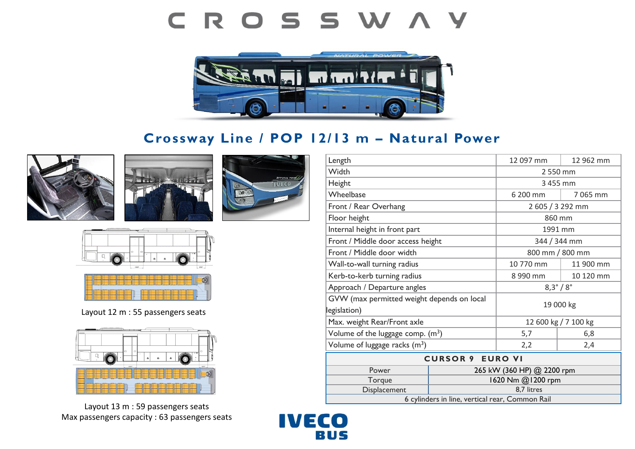# CROSSWAY



# **Crossway Line / POP 12/13 m – Natural Power**











Layout 12 m : 55 passengers seats



Layout 13 m : 59 passengers seats Max passengers capacity : 63 passengers seats

| Length                                          |                            | 12 097 mm               | 12 962 mm |
|-------------------------------------------------|----------------------------|-------------------------|-----------|
| Width                                           |                            | 2 550 mm                |           |
| Height                                          |                            | 3 455 mm                |           |
| Wheelbase                                       |                            | 6 200 mm                | 7 065 mm  |
| Front / Rear Overhang                           |                            | 2 605 / 3 292 mm        |           |
| Floor height                                    |                            | 860 mm                  |           |
| Internal height in front part                   |                            | 1991 mm                 |           |
| Front / Middle door access height               |                            | 344 / 344 mm            |           |
| Front / Middle door width                       |                            | 800 mm / 800 mm         |           |
| Wall-to-wall turning radius                     |                            | 10 770 mm               | 11 900 mm |
| Kerb-to-kerb turning radius                     |                            | 8 990 mm                | 10 120 mm |
| Approach / Departure angles                     |                            | $8,3^{\circ}/8^{\circ}$ |           |
| GVW (max permitted weight depends on local      |                            | 19 000 kg               |           |
| legislation)                                    |                            |                         |           |
| Max. weight Rear/Front axle                     |                            | 12 600 kg / 7 100 kg    |           |
| Volume of the luggage comp. $(m^3)$             |                            | 5,7                     | 6,8       |
| Volume of luggage racks $(m^3)$                 |                            | 2,2                     | 2,4       |
| <b>CURSOR 9 EURO VI</b>                         |                            |                         |           |
| Power                                           | 265 kW (360 HP) @ 2200 rpm |                         |           |
| Torque                                          | 1620 Nm @1200 rpm          |                         |           |
| Displacement                                    |                            | 8,7 litres              |           |
| 6 cylinders in line, vertical rear, Common Rail |                            |                         |           |

**IVECO** BUS